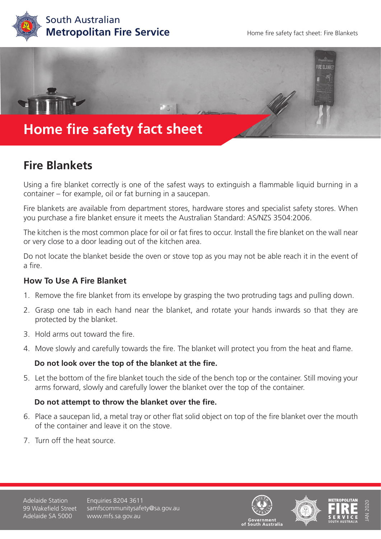



## **Fire Blankets**

Using a fire blanket correctly is one of the safest ways to extinguish a flammable liquid burning in a container – for example, oil or fat burning in a saucepan.

Fire blankets are available from department stores, hardware stores and specialist safety stores. When you purchase a fire blanket ensure it meets the Australian Standard: AS/NZS 3504:2006.

The kitchen is the most common place for oil or fat fires to occur. Install the fire blanket on the wall near or very close to a door leading out of the kitchen area.

Do not locate the blanket beside the oven or stove top as you may not be able reach it in the event of a fire.

### **How To Use A Fire Blanket**

- 1. Remove the fire blanket from its envelope by grasping the two protruding tags and pulling down.
- 2. Grasp one tab in each hand near the blanket, and rotate your hands inwards so that they are protected by the blanket.
- 3. Hold arms out toward the fire.
- 4. Move slowly and carefully towards the fire. The blanket will protect you from the heat and flame.

### **Do not look over the top of the blanket at the fire.**

5. Let the bottom of the fire blanket touch the side of the bench top or the container. Still moving your arms forward, slowly and carefully lower the blanket over the top of the container.

### **Do not attempt to throw the blanket over the fire.**

- 6. Place a saucepan lid, a metal tray or other flat solid object on top of the fire blanket over the mouth of the container and leave it on the stove.
- 7. Turn off the heat source.

Adelaide Station 99 Wakefield Street Adelaide SA 5000

Enquiries 8204 3611 samfscommunitysafety@sa.gov.au www.mfs.sa.gov.au







JAN 2020